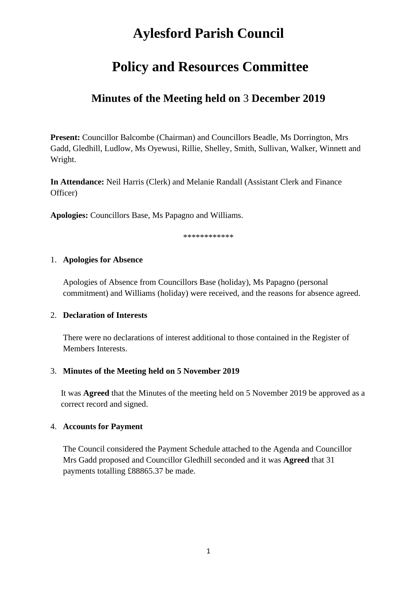# **Aylesford Parish Council**

# **Policy and Resources Committee**

# **Minutes of the Meeting held on** 3 **December 2019**

**Present:** Councillor Balcombe (Chairman) and Councillors Beadle, Ms Dorrington, Mrs Gadd, Gledhill, Ludlow, Ms Oyewusi, Rillie, Shelley, Smith, Sullivan, Walker, Winnett and Wright.

**In Attendance:** Neil Harris (Clerk) and Melanie Randall (Assistant Clerk and Finance Officer)

**Apologies:** Councillors Base, Ms Papagno and Williams.

\*\*\*\*\*\*\*\*\*\*\*\*

#### 1. **Apologies for Absence**

Apologies of Absence from Councillors Base (holiday), Ms Papagno (personal commitment) and Williams (holiday) were received, and the reasons for absence agreed.

## 2. **Declaration of Interests**

There were no declarations of interest additional to those contained in the Register of Members Interests.

## 3. **Minutes of the Meeting held on 5 November 2019**

It was **Agreed** that the Minutes of the meeting held on 5 November 2019 be approved as a correct record and signed.

## 4. **Accounts for Payment**

The Council considered the Payment Schedule attached to the Agenda and Councillor Mrs Gadd proposed and Councillor Gledhill seconded and it was **Agreed** that 31 payments totalling £88865.37 be made.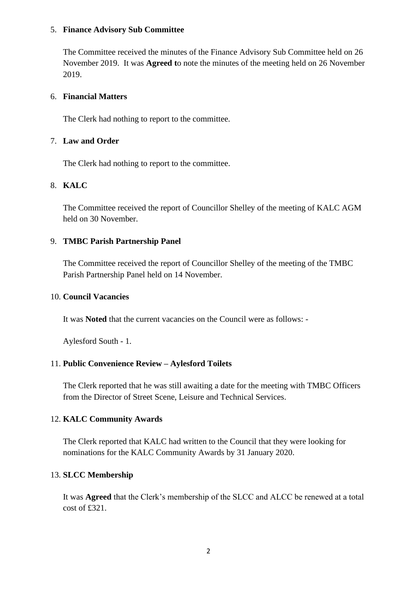#### 5. **Finance Advisory Sub Committee**

The Committee received the minutes of the Finance Advisory Sub Committee held on 26 November 2019. It was **Agreed t**o note the minutes of the meeting held on 26 November 2019.

#### 6. **Financial Matters**

The Clerk had nothing to report to the committee.

#### 7. **Law and Order**

The Clerk had nothing to report to the committee.

## 8. **KALC**

The Committee received the report of Councillor Shelley of the meeting of KALC AGM held on 30 November.

## 9. **TMBC Parish Partnership Panel**

The Committee received the report of Councillor Shelley of the meeting of the TMBC Parish Partnership Panel held on 14 November.

#### 10. **Council Vacancies**

It was **Noted** that the current vacancies on the Council were as follows: -

Aylesford South - 1.

## 11. **Public Convenience Review – Aylesford Toilets**

The Clerk reported that he was still awaiting a date for the meeting with TMBC Officers from the Director of Street Scene, Leisure and Technical Services.

## 12. **KALC Community Awards**

The Clerk reported that KALC had written to the Council that they were looking for nominations for the KALC Community Awards by 31 January 2020.

## 13. **SLCC Membership**

It was **Agreed** that the Clerk's membership of the SLCC and ALCC be renewed at a total cost of £321.